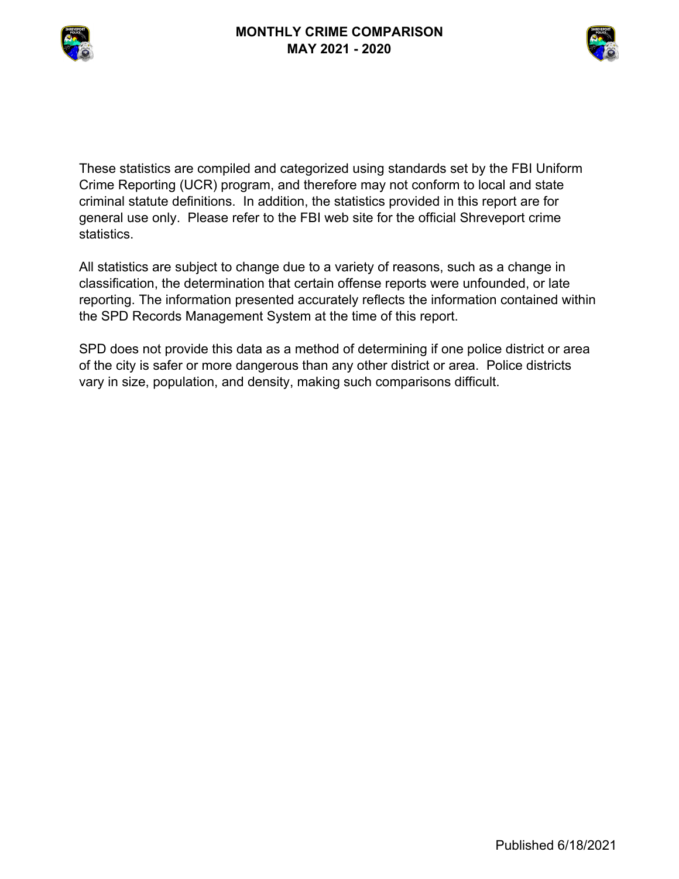



These statistics are compiled and categorized using standards set by the FBI Uniform Crime Reporting (UCR) program, and therefore may not conform to local and state criminal statute definitions. In addition, the statistics provided in this report are for general use only. Please refer to the FBI web site for the official Shreveport crime statistics.

All statistics are subject to change due to a variety of reasons, such as a change in classification, the determination that certain offense reports were unfounded, or late reporting. The information presented accurately reflects the information contained within the SPD Records Management System at the time of this report.

SPD does not provide this data as a method of determining if one police district or area of the city is safer or more dangerous than any other district or area. Police districts vary in size, population, and density, making such comparisons difficult.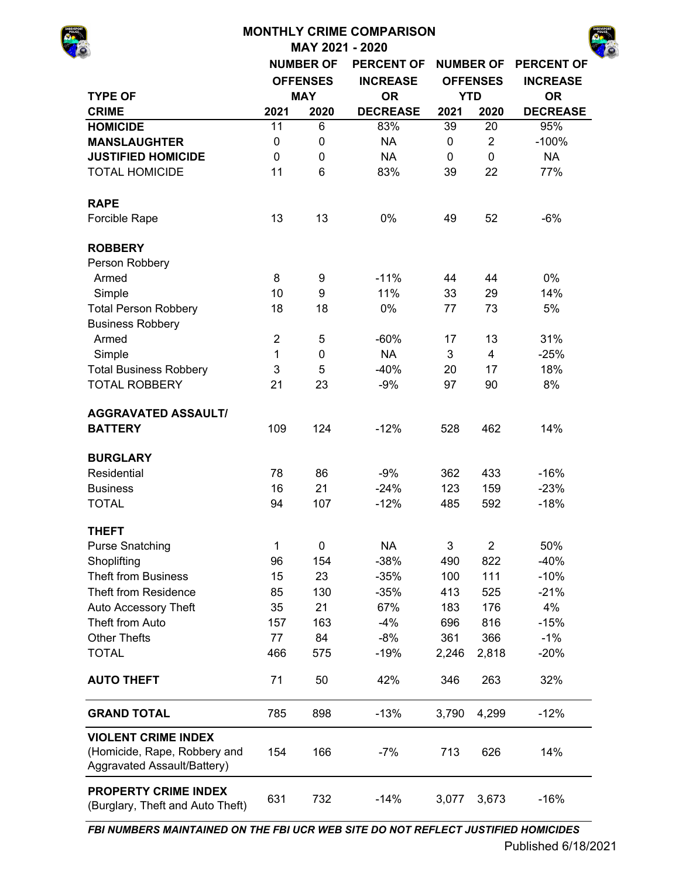|                                                                                           |                |                  | <b>MONTHLY CRIME COMPARISON</b> |             |                  |                   |
|-------------------------------------------------------------------------------------------|----------------|------------------|---------------------------------|-------------|------------------|-------------------|
|                                                                                           |                |                  | MAY 2021 - 2020                 |             |                  |                   |
|                                                                                           |                | <b>NUMBER OF</b> | <b>PERCENT OF</b>               |             | <b>NUMBER OF</b> | <b>PERCENT OF</b> |
|                                                                                           |                | <b>OFFENSES</b>  | <b>INCREASE</b>                 |             | <b>OFFENSES</b>  | <b>INCREASE</b>   |
| <b>TYPE OF</b>                                                                            |                | <b>MAY</b>       | <b>OR</b>                       |             | <b>YTD</b>       | <b>OR</b>         |
| <b>CRIME</b>                                                                              | 2021           | 2020             | <b>DECREASE</b>                 | 2021        | 2020             | <b>DECREASE</b>   |
| <b>HOMICIDE</b>                                                                           | 11             | 6                | 83%                             | 39          | 20               | 95%               |
| <b>MANSLAUGHTER</b>                                                                       | 0              | 0                | <b>NA</b>                       | 0           | $\overline{2}$   | $-100%$           |
| <b>JUSTIFIED HOMICIDE</b>                                                                 | 0              | 0                | <b>NA</b>                       | $\mathbf 0$ | $\mathbf 0$      | <b>NA</b>         |
| <b>TOTAL HOMICIDE</b>                                                                     | 11             | 6                | 83%                             | 39          | 22               | 77%               |
| <b>RAPE</b>                                                                               |                |                  |                                 |             |                  |                   |
| Forcible Rape                                                                             | 13             | 13               | 0%                              | 49          | 52               | $-6%$             |
| <b>ROBBERY</b>                                                                            |                |                  |                                 |             |                  |                   |
| Person Robbery                                                                            |                |                  |                                 |             |                  |                   |
| Armed                                                                                     | 8              | 9                | $-11%$                          | 44          | 44               | 0%                |
| Simple                                                                                    | 10             | 9                | 11%                             | 33          | 29               | 14%               |
| <b>Total Person Robbery</b>                                                               | 18<br>18       |                  | 0%                              | 77          | 73               | 5%                |
| <b>Business Robbery</b>                                                                   |                |                  |                                 |             |                  |                   |
| Armed                                                                                     | $\overline{2}$ | 5                | $-60%$                          | 17          | 13               | 31%               |
| Simple                                                                                    | 1              | 0                | <b>NA</b>                       | 3           | $\overline{4}$   | $-25%$            |
| <b>Total Business Robbery</b>                                                             | 3              | 5                | $-40%$                          | 20          | 17               | 18%               |
| <b>TOTAL ROBBERY</b>                                                                      | 21             | 23               | $-9%$                           | 97          | 90               | 8%                |
| <b>AGGRAVATED ASSAULT/</b>                                                                |                |                  |                                 |             |                  |                   |
| <b>BATTERY</b>                                                                            | 109            | 124              | $-12%$                          | 528         | 462              | 14%               |
| <b>BURGLARY</b>                                                                           |                |                  |                                 |             |                  |                   |
| Residential                                                                               | 78             | 86               | $-9%$                           | 362         | 433              | $-16%$            |
| <b>Business</b>                                                                           | 16             | 21               | $-24%$                          | 123         | 159              | $-23%$            |
| <b>TOTAL</b>                                                                              | 94             | 107              | $-12%$                          | 485         | 592              | $-18%$            |
| <b>THEFT</b>                                                                              |                |                  |                                 |             |                  |                   |
| <b>Purse Snatching</b>                                                                    | 1              | 0                | <b>NA</b>                       | 3           | $\overline{2}$   | 50%               |
| Shoplifting                                                                               | 96             | 154              | $-38%$                          | 490         | 822              | $-40%$            |
| <b>Theft from Business</b>                                                                | 15             | 23               | $-35%$                          | 100         | 111              | $-10%$            |
| Theft from Residence                                                                      | 85             | 130              | $-35%$                          | 413         | 525              | $-21%$            |
| Auto Accessory Theft                                                                      | 35             | 21               | 67%                             | 183         | 176              | 4%                |
| Theft from Auto                                                                           | 157            | 163              | $-4%$                           | 696         | 816              | $-15%$            |
| <b>Other Thefts</b>                                                                       | 77             | 84               | $-8%$                           | 361         | 366              | $-1%$             |
| <b>TOTAL</b>                                                                              | 466            | 575              | $-19%$                          | 2,246       | 2,818            | $-20%$            |
| <b>AUTO THEFT</b>                                                                         | 71             | 50               | 42%                             | 346         | 263              | 32%               |
| <b>GRAND TOTAL</b>                                                                        | 785            | 898              | $-13%$                          | 3,790       | 4,299            | $-12%$            |
| <b>VIOLENT CRIME INDEX</b><br>(Homicide, Rape, Robbery and<br>Aggravated Assault/Battery) | 154            | 166              | $-7%$                           | 713         | 626              | 14%               |
| <b>PROPERTY CRIME INDEX</b><br>(Burglary, Theft and Auto Theft)                           | 631            | 732              | $-14%$                          | 3,077       | 3,673            | $-16%$            |

*FBI NUMBERS MAINTAINED ON THE FBI UCR WEB SITE DO NOT REFLECT JUSTIFIED HOMICIDES*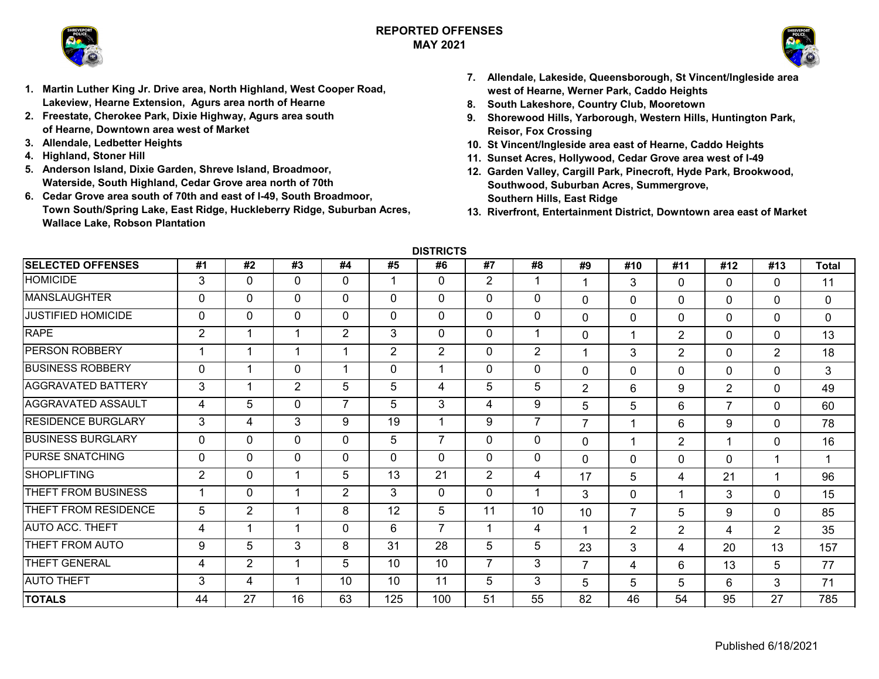### **REPORTED OFFENSESMAY 2021**





- **1. Martin Luther King Jr. Drive area, North Highland, West Cooper Road, Lakeview, Hearne Extension, Agurs area north of Hearne**
- **2. Freestate, Cherokee Park, Dixie Highway, Agurs area south of Hearne, Downtown area west of Market**
- **3. Allendale, Ledbetter Heights**
- **4. Highland, Stoner Hill**
- **5. Anderson Island, Dixie Garden, Shreve Island, Broadmoor, Waterside, South Highland, Cedar Grove area north of 70th**
- **6. Cedar Grove area south of 70th and east of I-49, South Broadmoor, Town South/Spring Lake, East Ridge, Huckleberry Ridge, Suburban Acres, Wallace Lake, Robson Plantation**
- **7. Allendale, Lakeside, Queensborough, St Vincent/Ingleside area west of Hearne, Werner Park, Caddo Heights**
- **8. South Lakeshore, Country Club, Mooretown**
- **9. Shorewood Hills, Yarborough, Western Hills, Huntington Park, Reisor, Fox Crossing**
- **10. St Vincent/Ingleside area east of Hearne, Caddo Heights**
- **11. Sunset Acres, Hollywood, Cedar Grove area west of I-49**
- **12. Garden Valley, Cargill Park, Pinecroft, Hyde Park, Brookwood, Southwood, Suburban Acres, Summergrove, Southern Hills, East Ridge**
- **13. Riverfront, Entertainment District, Downtown area east of Market**

**DISTRICTS**

| <b>SELECTED OFFENSES</b>  | #1             | #2             | #3       | #4       | #5           | #6             | #7             | #8             | #9             | #10            | #11            | #12            | #13            | <b>Total</b> |
|---------------------------|----------------|----------------|----------|----------|--------------|----------------|----------------|----------------|----------------|----------------|----------------|----------------|----------------|--------------|
| <b>HOMICIDE</b>           | 3              | $\mathbf 0$    | $\Omega$ | 0        | 1            | 0              | $\overline{2}$ | 1              | 1              | 3              | 0              | $\Omega$       | $\Omega$       | 11           |
| <b>MANSLAUGHTER</b>       | 0              | 0              | $\Omega$ | 0        | $\Omega$     | $\mathbf{0}$   | 0              | 0              | $\mathbf 0$    | $\Omega$       | $\Omega$       | $\mathbf{0}$   | $\Omega$       | $\mathbf{0}$ |
| <b>JUSTIFIED HOMICIDE</b> | 0              | 0              | $\Omega$ | $\Omega$ | $\Omega$     | $\Omega$       | 0              | $\mathbf{0}$   | 0              | $\Omega$       | $\Omega$       | $\mathbf{0}$   | $\Omega$       | 0            |
| <b>RAPE</b>               | $\overline{2}$ | 1              | 1        | 2        | 3            | $\mathbf 0$    | $\Omega$       |                | $\mathbf{0}$   |                | 2              | $\mathbf{0}$   | $\mathbf{0}$   | 13           |
| <b>PERSON ROBBERY</b>     |                | 1              | 1        |          | 2            | 2              | 0              | $\overline{2}$ | 1              | 3              | $\overline{2}$ | $\mathbf{0}$   | $\overline{2}$ | 18           |
| <b>BUSINESS ROBBERY</b>   | 0              | 4              | $\Omega$ |          | $\mathbf{0}$ | 1              | 0              | 0              | $\Omega$       | $\Omega$       | $\Omega$       | $\Omega$       | $\Omega$       | 3            |
| <b>AGGRAVATED BATTERY</b> | 3              | 1              | 2        | 5        | 5            | 4              | 5              | 5              | $\overline{2}$ | 6              | 9              | $\overline{2}$ | $\Omega$       | 49           |
| <b>AGGRAVATED ASSAULT</b> | 4              | 5              | 0        | 7        | 5            | 3              | 4              | 9              | 5              | 5              | 6              | $\overline{7}$ | $\mathbf{0}$   | 60           |
| <b>RESIDENCE BURGLARY</b> | 3              | 4              | 3        | 9        | 19           | 1              | 9              | $\overline{7}$ | $\overline{7}$ |                | 6              | 9              | $\Omega$       | 78           |
| <b>BUSINESS BURGLARY</b>  | 0              | $\mathbf 0$    | 0        | 0        | 5            | $\overline{7}$ | 0              | 0              | $\Omega$       | 1              | $\overline{2}$ |                | $\Omega$       | 16           |
| <b>PURSE SNATCHING</b>    | 0              | 0              | $\Omega$ | 0        | $\mathbf{0}$ | $\Omega$       | 0              | 0              | $\mathbf 0$    | $\Omega$       | 0              | $\mathbf{0}$   | 1              | -1           |
| <b>SHOPLIFTING</b>        | 2              | 0              | 1        | 5        | 13           | 21             | $\overline{2}$ | 4              | 17             | 5              | 4              | 21             | 1              | 96           |
| THEFT FROM BUSINESS       |                | 0              |          | 2        | 3            | $\Omega$       | $\Omega$       |                | 3              | $\Omega$       |                | 3              | $\Omega$       | 15           |
| THEFT FROM RESIDENCE      | 5              | $\overline{2}$ | 1        | 8        | 12           | 5              | 11             | 10             | 10             | $\overline{7}$ | 5              | 9              | $\Omega$       | 85           |
| <b>AUTO ACC. THEFT</b>    | 4              | -1             | -1       | 0        | 6            | $\overline{7}$ |                | 4              | 1              | $\overline{2}$ | $\overline{2}$ | $\overline{4}$ | $\overline{2}$ | 35           |
| THEFT FROM AUTO           | 9              | 5              | 3        | 8        | 31           | 28             | 5              | 5              | 23             | 3              | 4              | 20             | 13             | 157          |
| THEFT GENERAL             | 4              | $\overline{2}$ | -1       | 5        | 10           | 10             | 7              | 3              | $\overline{7}$ | 4              | 6              | 13             | 5              | 77           |
| <b>AUTO THEFT</b>         | 3              | 4              | 1        | 10       | 10           | 11             | 5              | 3              | 5              | 5              | 5              | 6              | 3              | 71           |
| <b>TOTALS</b>             | 44             | 27             | 16       | 63       | 125          | 100            | 51             | 55             | 82             | 46             | 54             | 95             | 27             | 785          |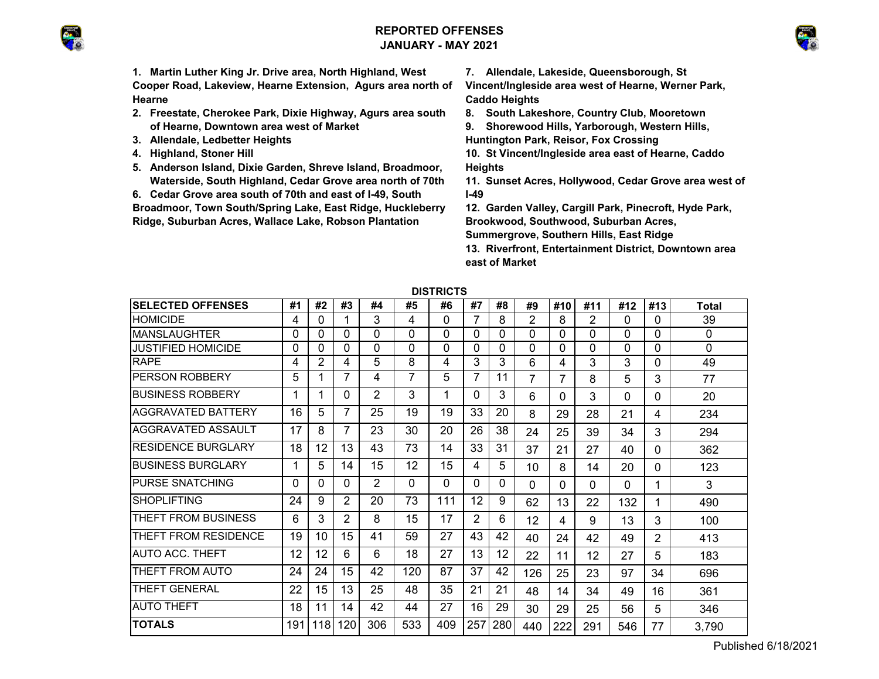# **REPORTED OFFENSESJANUARY - MAY 2021**





**1. Martin Luther King Jr. Drive area, North Highland, West Cooper Road, Lakeview, Hearne Extension, Agurs area north of Hearne**

- **2. Freestate, Cherokee Park, Dixie Highway, Agurs area south of Hearne, Downtown area west of Market**
- **3. Allendale, Ledbetter Heights**
- **4. Highland, Stoner Hill**
- **5. Anderson Island, Dixie Garden, Shreve Island, Broadmoor, Waterside, South Highland, Cedar Grove area north of 70th**
- **6. Cedar Grove area south of 70th and east of I-49, South**

**Broadmoor, Town South/Spring Lake, East Ridge, Huckleberry Ridge, Suburban Acres, Wallace Lake, Robson Plantation** 

**7. Allendale, Lakeside, Queensborough, St** 

**Vincent/Ingleside area west of Hearne, Werner Park, Caddo Heights**

**8. South Lakeshore, Country Club, Mooretown**

**9. Shorewood Hills, Yarborough, Western Hills,** 

**Huntington Park, Reisor, Fox Crossing**

- **10. St Vincent/Ingleside area east of Hearne, Caddo Heights**
- **11. Sunset Acres, Hollywood, Cedar Grove area west of I-49**
- **12. Garden Valley, Cargill Park, Pinecroft, Hyde Park, Brookwood, Southwood, Suburban Acres, Summergrove, Southern Hills, East Ridge**
- **13. Riverfront, Entertainment District, Downtown area east of Market**

| PIJINU I J                 |     |     |                |     |          |     |          |     |                |     |                 |          |                |       |
|----------------------------|-----|-----|----------------|-----|----------|-----|----------|-----|----------------|-----|-----------------|----------|----------------|-------|
| <b>SELECTED OFFENSES</b>   | #1  | #2  | #3             | #4  | #5       | #6  | #7       | #8  | #9             | #10 | #11             | #12      | #13            | Total |
| <b>HOMICIDE</b>            | 4   | 0   |                | 3   | 4        | 0   | 7        | 8   | $\overline{2}$ | 8   | 2               | $\Omega$ | $\Omega$       | 39    |
| IMANSLAUGHTER              | 0   | 0   | 0              | 0   | $\Omega$ | 0   | 0        | 0   | 0              | 0   | 0               | 0        | $\Omega$       | 0     |
| JUSTIFIED HOMICIDE         | 0   | 0   | 0              | 0   | $\Omega$ | 0   | 0        | 0   | 0              | 0   | 0               | 0        | $\Omega$       | 0     |
| <b>RAPE</b>                | 4   | 2   | 4              | 5   | 8        | 4   | 3        | 3   | 6              | 4   | 3               | 3        | $\Omega$       | 49    |
| IPERSON ROBBERY            | 5   |     | 7              | 4   |          | 5   |          | 11  | 7              | 7   | 8               | 5        | 3              | 77    |
| <b>IBUSINESS ROBBERY</b>   |     |     | 0              | 2   | 3        |     | $\Omega$ | 3   | 6              | 0   | 3               | 0        | $\Omega$       | 20    |
| IAGGRAVATED BATTERY        | 16  | 5   | $\overline{7}$ | 25  | 19       | 19  | 33       | 20  | 8              | 29  | 28              | 21       | 4              | 234   |
| IAGGRAVATED ASSAULT        | 17  | 8   | $\overline{7}$ | 23  | 30       | 20  | 26       | 38  | 24             | 25  | 39              | 34       | 3              | 294   |
| <b>IRESIDENCE BURGLARY</b> | 18  | 12  | 13             | 43  | 73       | 14  | 33       | 31  | 37             | 21  | 27              | 40       | 0              | 362   |
| <b>IBUSINESS BURGLARY</b>  |     | 5   | 14             | 15  | 12       | 15  | 4        | 5   | 10             | 8   | 14              | 20       | $\Omega$       | 123   |
| <b>IPURSE SNATCHING</b>    | 0   | 0   | 0              | 2   | $\Omega$ | 0   | 0        | 0   | $\Omega$       | 0   | $\Omega$        | $\Omega$ | 1              | 3     |
| <b>SHOPLIFTING</b>         | 24  | 9   | 2              | 20  | 73       | 111 | 12       | 9   | 62             | 13  | 22              | 132      | 1              | 490   |
| THEFT FROM BUSINESS        | 6   | 3   | 2              | 8   | 15       | 17  | 2        | 6   | 12             | 4   | 9               | 13       | 3              | 100   |
| THEFT FROM RESIDENCE       | 19  | 10  | 15             | 41  | 59       | 27  | 43       | 42  | 40             | 24  | 42              | 49       | $\overline{2}$ | 413   |
| <b>IAUTO ACC. THEFT</b>    | 12  | 12  | 6              | 6   | 18       | 27  | 13       | 12  | 22             | 11  | 12 <sup>2</sup> | 27       | 5              | 183   |
| THEFT FROM AUTO            | 24  | 24  | 15             | 42  | 120      | 87  | 37       | 42  | 126            | 25  | 23              | 97       | 34             | 696   |
| <b>THEFT GENERAL</b>       | 22  | 15  | 13             | 25  | 48       | 35  | 21       | 21  | 48             | 14  | 34              | 49       | 16             | 361   |
| <b>AUTO THEFT</b>          | 18  | 11  | 14             | 42  | 44       | 27  | 16       | 29  | 30             | 29  | 25              | 56       | 5              | 346   |
| <b>TOTALS</b>              | 191 | 118 | 120            | 306 | 533      | 409 | 257      | 280 | 440            | 222 | 291             | 546      | 77             | 3,790 |

**DISTRICTS**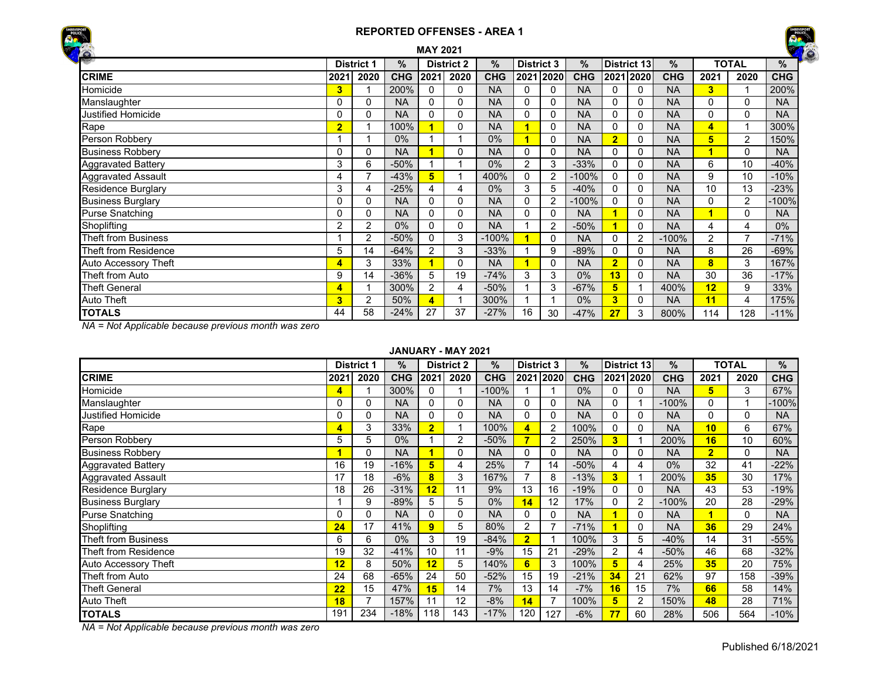



|                             |                |                   |            | <b>MAY 2021</b> |                   |               |                   |                |               |                         |             |               |      |                | <b>RE</b>  |
|-----------------------------|----------------|-------------------|------------|-----------------|-------------------|---------------|-------------------|----------------|---------------|-------------------------|-------------|---------------|------|----------------|------------|
|                             |                | <b>District 1</b> | %          |                 | <b>District 2</b> | $\frac{9}{6}$ | <b>District 3</b> |                | $\frac{0}{0}$ |                         | District 13 | $\frac{9}{6}$ |      | <b>TOTAL</b>   | %          |
| <b>CRIME</b>                | 2021           | 2020              | <b>CHG</b> | 2021            | 2020              | <b>CHG</b>    |                   | 2021 2020      | <b>CHG</b>    |                         | 2021 2020   | <b>CHG</b>    | 2021 | 2020           | <b>CHG</b> |
| Homicide                    | 3              |                   | 200%       | 0               | 0                 | <b>NA</b>     | 0                 | 0              | <b>NA</b>     | $\Omega$                | 0           | <b>NA</b>     | 3    | 1              | 200%       |
| Manslaughter                | 0              | 0                 | <b>NA</b>  | 0               | 0                 | <b>NA</b>     | $\Omega$          | $\Omega$       | <b>NA</b>     | $\Omega$                | $\Omega$    | <b>NA</b>     | 0    | $\Omega$       | <b>NA</b>  |
| Justified Homicide          | 0              | 0                 | <b>NA</b>  | $\Omega$        | 0                 | <b>NA</b>     | $\Omega$          | $\Omega$       | <b>NA</b>     | $\Omega$                | $\Omega$    | <b>NA</b>     | 0    | 0              | <b>NA</b>  |
| Rape                        | $\overline{2}$ | 4                 | 100%       |                 | 0                 | <b>NA</b>     | и                 | 0              | <b>NA</b>     | $\Omega$                | 0           | <b>NA</b>     | 4    | 1              | 300%       |
| Person Robbery              |                |                   | $0\%$      |                 |                   | 0%            |                   | $\Omega$       | <b>NA</b>     | $\overline{\mathbf{2}}$ | $\Omega$    | <b>NA</b>     | 5    | $\overline{2}$ | 150%       |
| <b>Business Robbery</b>     | 0              | 0                 | <b>NA</b>  |                 | 0                 | <b>NA</b>     | 0                 | 0              | <b>NA</b>     | 0                       | $\Omega$    | <b>NA</b>     | ٠    | 0              | <b>NA</b>  |
| <b>Aggravated Battery</b>   | 3              | 6                 | $-50%$     |                 |                   | 0%            | 2                 | 3              | $-33%$        | $\mathbf 0$             | 0           | <b>NA</b>     | 6    | 10             | $-40%$     |
| Aggravated Assault          | 4              | 7                 | $-43%$     | 5               |                   | 400%          | 0                 | $\overline{2}$ | $-100%$       | $\Omega$                | $\Omega$    | <b>NA</b>     | 9    | 10             | $-10%$     |
| <b>Residence Burglary</b>   | 3              | 4                 | $-25%$     | 4               | 4                 | 0%            | 3                 | 5              | $-40%$        | 0                       | $\Omega$    | <b>NA</b>     | 10   | 13             | $-23%$     |
| <b>Business Burglary</b>    | 0              | 0                 | <b>NA</b>  | 0               | 0                 | <b>NA</b>     | 0                 | 2              | $-100%$       | $\Omega$                | $\Omega$    | <b>NA</b>     | 0    | 2              | 100%       |
| <b>Purse Snatching</b>      | 0              | 0                 | <b>NA</b>  | $\Omega$        | 0                 | <b>NA</b>     | 0                 | 0              | <b>NA</b>     |                         | 0           | <b>NA</b>     | и    | 0              | <b>NA</b>  |
| Shoplifting                 | 2              | $\overline{2}$    | $0\%$      | 0               | $\mathbf{0}$      | <b>NA</b>     |                   | 2              | $-50%$        |                         | 0           | <b>NA</b>     | 4    | 4              | $0\%$      |
| <b>Theft from Business</b>  |                | 2                 | $-50%$     | 0               | 3                 | $-100%$       |                   | $\Omega$       | <b>NA</b>     | $\Omega$                | 2           | $-100%$       | 2    | $\overline{7}$ | $-71%$     |
| Theft from Residence        | 5              | 14                | $-64%$     | 2               | 3                 | $-33%$        |                   | 9              | $-89%$        | 0                       | 0           | <b>NA</b>     | 8    | 26             | $-69%$     |
| <b>Auto Accessory Theft</b> | 4              | 3                 | 33%        |                 | $\mathbf{0}$      | <b>NA</b>     |                   | $\Omega$       | <b>NA</b>     | $\overline{2}$          | $\Omega$    | <b>NA</b>     | 8    | 3              | 167%       |
| Theft from Auto             | 9              | 14                | $-36%$     | 5               | 19                | $-74%$        | 3                 | 3              | 0%            | 13                      | 0           | <b>NA</b>     | 30   | 36             | $-17%$     |
| <b>Theft General</b>        | 4              |                   | 300%       | 2               | 4                 | $-50%$        |                   | 3              | $-67%$        | 5                       |             | 400%          | 12   | 9              | 33%        |
| <b>Auto Theft</b>           | 3              | 2                 | 50%        |                 |                   | 300%          |                   |                | 0%            | 3                       | $\Omega$    | <b>NA</b>     | 11   | 4              | 175%       |
| <b>TOTALS</b>               | 44             | 58                | $-24%$     | 27              | 37                | $-27%$        | 16                | 30             | $-47%$        | 27                      | 3           | 800%          | 114  | 128            | $-11%$     |

*NA = Not Applicable because previous month was zero*

#### **JANUARY - MAY 2021**

|                           |      | <b>District 1</b> | %          |                | <b>District 2</b> | %          | <b>District 3</b> |                | $\%$       |                | District 13 | $\%$       |                | <b>TOTAL</b> | %          |
|---------------------------|------|-------------------|------------|----------------|-------------------|------------|-------------------|----------------|------------|----------------|-------------|------------|----------------|--------------|------------|
| <b>CRIME</b>              | 2021 | 2020              | <b>CHG</b> | 2021           | 2020              | <b>CHG</b> |                   | 2021 2020      | <b>CHG</b> |                | 2021 2020   | <b>CHG</b> | 2021           | 2020         | <b>CHG</b> |
| Homicide                  | 4    |                   | 300%       | 0              |                   | $-100%$    |                   |                | 0%         | 0              | 0           | <b>NA</b>  | 5              | 3            | 67%        |
| Manslaughter              | 0    | 0                 | <b>NA</b>  | 0              | 0                 | NA         | 0                 | 0              | <b>NA</b>  | 0              |             | $-100\%$   | 0              |              | 100%       |
| Justified Homicide        | 0    | 0                 | <b>NA</b>  | 0              | 0                 | <b>NA</b>  | 0                 | 0              | <b>NA</b>  | 0              | 0           | <b>NA</b>  | 0              | $\Omega$     | <b>NA</b>  |
| Rape                      | 4    | 3                 | 33%        | $\overline{2}$ |                   | 100%       | 4                 | $\overline{2}$ | 100%       | 0              | 0           | <b>NA</b>  | 10             | 6            | 67%        |
| Person Robbery            | 5    | 5                 | $0\%$      |                | 2                 | $-50%$     |                   | 2              | 250%       | 3              |             | 200%       | 16             | 10           | 60%        |
| <b>Business Robbery</b>   |      | 0                 | <b>NA</b>  |                | 0                 | <b>NA</b>  | 0                 | 0              | <b>NA</b>  | $\Omega$       | 0           | <b>NA</b>  | $\overline{2}$ | $\Omega$     | <b>NA</b>  |
| <b>Aggravated Battery</b> | 16   | 19                | $-16%$     | 5              | 4                 | 25%        |                   | 14             | $-50%$     | 4              | 4           | 0%         | 32             | 41           | $-22%$     |
| <b>Aggravated Assault</b> | 17   | 18                | $-6\%$     | 8              | 3                 | 167%       |                   | 8              | $-13%$     | 3              |             | 200%       | 35             | 30           | 17%        |
| <b>Residence Burglary</b> | 18   | 26                | $-31%$     | 12             | 11                | 9%         | 13                | 16             | $-19%$     | 0              | 0           | <b>NA</b>  | 43             | 53           | $-19%$     |
| <b>Business Burglary</b>  |      | 9                 | $-89%$     | 5              | 5                 | $0\%$      | 14                | 12             | 17%        | 0              | 2           | $-100%$    | 20             | 28           | $-29%$     |
| <b>Purse Snatching</b>    | 0    | 0                 | <b>NA</b>  | 0              | 0                 | <b>NA</b>  | 0                 | 0              | <b>NA</b>  |                | 0           | <b>NA</b>  | и              | $\Omega$     | <b>NA</b>  |
| Shoplifting               | 24   | 17                | 41%        | 9              | 5                 | 80%        | 2                 |                | $-71%$     |                | 0           | <b>NA</b>  | 36             | 29           | 24%        |
| Theft from Business       | 6    | 6                 | $0\%$      | 3              | 19                | $-84%$     | $\overline{2}$    |                | 100%       | 3              | 5           | $-40%$     | 14             | 31           | $-55%$     |
| Theft from Residence      | 19   | 32                | $-41%$     | 10             | 11                | $-9%$      | 15                | 21             | $-29%$     | $\overline{2}$ | 4           | $-50%$     | 46             | 68           | $-32%$     |
| Auto Accessory Theft      | 12   | 8                 | 50%        | 12             | 5                 | 140%       | 6                 | 3              | 100%       | 5              | 4           | 25%        | 35             | 20           | 75%        |
| Theft from Auto           | 24   | 68                | $-65%$     | 24             | 50                | $-52%$     | 15                | 19             | $-21%$     | 34             | 21          | 62%        | 97             | 158          | $-39%$     |
| <b>Theft General</b>      | 22   | 15                | 47%        | 15             | 14                | 7%         | 13                | 14             | $-7%$      | 16             | 15          | 7%         | 66             | 58           | 14%        |
| <b>Auto Theft</b>         | 18   | $\overline{ }$    | 157%       |                | 12                | $-8%$      | 14                |                | 100%       | 5              | 2           | 150%       | 48             | 28           | 71%        |
| <b>TOTALS</b>             | 191  | 234               | $-18%$     | 118            | 143               | $-17%$     | 120               | 127            | $-6%$      | 77             | 60          | 28%        | 506            | 564          | $-10%$     |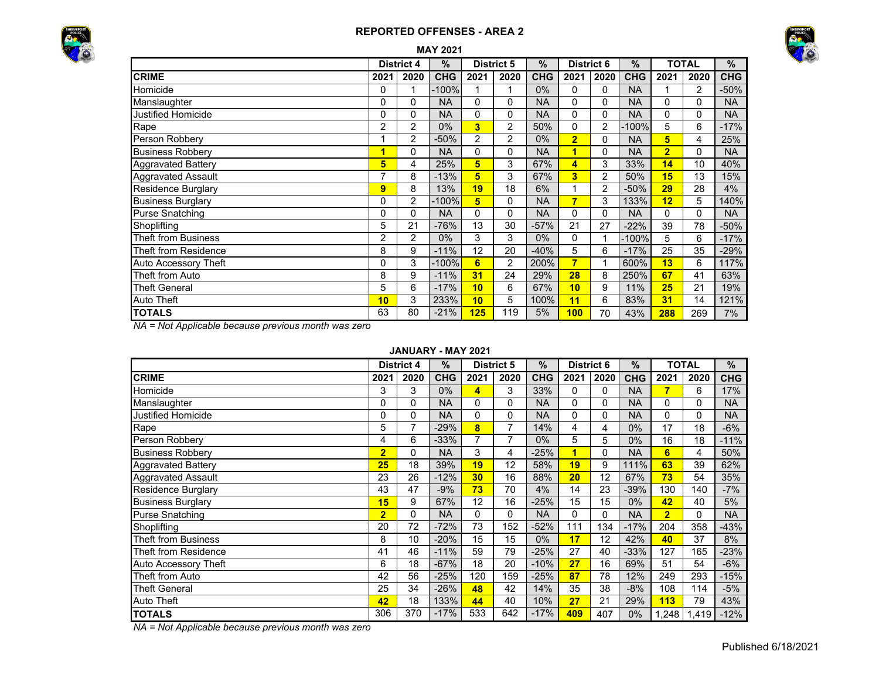



|                             |                |                   | <b>MAY 2021</b> |                |                   |               |                         |                |               |                |              |            |
|-----------------------------|----------------|-------------------|-----------------|----------------|-------------------|---------------|-------------------------|----------------|---------------|----------------|--------------|------------|
|                             |                | <b>District 4</b> | $\%$            |                | <b>District 5</b> | $\frac{0}{0}$ | <b>District 6</b>       |                | $\frac{0}{0}$ |                | <b>TOTAL</b> | $\%$       |
| <b>CRIME</b>                | 2021           | 2020              | <b>CHG</b>      | 2021           | 2020              | <b>CHG</b>    | 2021                    | 2020           | <b>CHG</b>    | 2021           | 2020         | <b>CHG</b> |
| Homicide                    | 0              | 1                 | $-100%$         |                |                   | $0\%$         | 0                       | 0              | <b>NA</b>     |                | 2            | $-50%$     |
| Manslaughter                | 0              | 0                 | <b>NA</b>       | 0              | 0                 | <b>NA</b>     | 0                       | 0              | <b>NA</b>     | 0              | $\Omega$     | <b>NA</b>  |
| Justified Homicide          | 0              | 0                 | <b>NA</b>       | 0              | 0                 | NA            | 0                       | 0              | <b>NA</b>     | 0              | 0            | <b>NA</b>  |
| Rape                        | 2              | 2                 | 0%              | 3              | 2                 | 50%           | 0                       | 2              | $-100%$       | 5              | 6            | $-17%$     |
| Person Robbery              |                | 2                 | $-50%$          | $\overline{c}$ | 2                 | $0\%$         | $\overline{\mathbf{2}}$ | 0              | <b>NA</b>     | 5              | 4            | 25%        |
| <b>Business Robbery</b>     | 1              | 0                 | <b>NA</b>       | 0              | 0                 | <b>NA</b>     | $\overline{1}$          | 0              | <b>NA</b>     | $\overline{2}$ | 0            | <b>NA</b>  |
| <b>Aggravated Battery</b>   | 5              | 4                 | 25%             | 5              | 3                 | 67%           | 4                       | 3              | 33%           | 14             | 10           | 40%        |
| <b>Aggravated Assault</b>   | ⇁              | 8                 | $-13%$          | 5              | 3                 | 67%           | 3                       | $\overline{2}$ | 50%           | 15             | 13           | 15%        |
| Residence Burglary          | 9              | 8                 | 13%             | 19             | 18                | 6%            |                         | 2              | $-50%$        | 29             | 28           | 4%         |
| <b>Business Burglary</b>    | 0              | 2                 | $-100%$         | 5              | 0                 | <b>NA</b>     | $\overline{7}$          | 3              | 133%          | 12             | 5            | 140%       |
| <b>Purse Snatching</b>      | $\Omega$       | $\Omega$          | <b>NA</b>       | $\Omega$       | $\Omega$          | <b>NA</b>     | 0                       | 0              | <b>NA</b>     | $\Omega$       | $\Omega$     | <b>NA</b>  |
| Shoplifting                 | 5              | 21                | $-76%$          | 13             | 30                | $-57%$        | 21                      | 27             | $-22%$        | 39             | 78           | $-50%$     |
| <b>Theft from Business</b>  | $\overline{2}$ | 2                 | $0\%$           | 3              | 3                 | $0\%$         | 0                       |                | $-100%$       | 5              | 6            | $-17%$     |
| <b>Theft from Residence</b> | 8              | 9                 | $-11%$          | 12             | 20                | $-40%$        | 5                       | 6              | $-17%$        | 25             | 35           | $-29%$     |
| Auto Accessory Theft        | 0              | 3                 | $-100%$         | $6\phantom{1}$ | 2                 | 200%          | $\overline{7}$          |                | 600%          | 13             | 6            | 117%       |
| Theft from Auto             | 8              | 9                 | $-11%$          | 31             | 24                | 29%           | 28                      | 8              | 250%          | 67             | 41           | 63%        |
| <b>Theft General</b>        | 5              | 6                 | $-17%$          | 10             | 6                 | 67%           | 10                      | 9              | 11%           | 25             | 21           | 19%        |
| <b>Auto Theft</b>           | 10             | 3                 | 233%            | 10             | 5                 | 100%          | 11                      | 6              | 83%           | 31             | 14           | 121%       |
| <b>TOTALS</b>               | 63             | 80                | $-21%$          | 125            | 119               | 5%            | 100                     | 70             | 43%           | 288            | 269          | 7%         |

*NA = Not Applicable because previous month was zero*

#### **JANUARY - MAY 2021**

|                            |                | <b>District 4</b> | $\frac{1}{2}$ |      | <b>District 5</b> | $\frac{9}{6}$ | <b>District 6</b>       |      | $\%$       |                | <b>TOTAL</b> | $\%$       |
|----------------------------|----------------|-------------------|---------------|------|-------------------|---------------|-------------------------|------|------------|----------------|--------------|------------|
| <b>CRIME</b>               | 2021           | 2020              | <b>CHG</b>    | 2021 | 2020              | <b>CHG</b>    | 2021                    | 2020 | <b>CHG</b> | 2021           | 2020         | <b>CHG</b> |
| Homicide                   | 3              | 3                 | $0\%$         | 4    | 3                 | 33%           | 0                       | 0    | <b>NA</b>  |                | 6            | 17%        |
| Manslaughter               | 0              | 0                 | <b>NA</b>     | 0    | 0                 | <b>NA</b>     | 0                       | 0    | <b>NA</b>  | 0              | 0            | <b>NA</b>  |
| <b>Justified Homicide</b>  | 0              | 0                 | <b>NA</b>     | 0    | 0                 | <b>NA</b>     | 0                       | 0    | <b>NA</b>  | $\Omega$       | $\Omega$     | <b>NA</b>  |
| Rape                       | 5              | $\overline{7}$    | $-29%$        | 8    | 7                 | 14%           | 4                       | 4    | 0%         | 17             | 18           | $-6%$      |
| Person Robbery             | 4              | 6                 | $-33%$        | 7    | 7                 | $0\%$         | 5                       | 5    | 0%         | 16             | 18           | $-11%$     |
| <b>Business Robbery</b>    | $\overline{2}$ | 0                 | <b>NA</b>     | 3    | 4                 | $-25%$        | $\overline{\mathbf{1}}$ | 0    | <b>NA</b>  | 6              | 4            | 50%        |
| <b>Aggravated Battery</b>  | 25             | 18                | 39%           | 19   | 12                | 58%           | 19                      | 9    | 111%       | 63             | 39           | 62%        |
| <b>Aggravated Assault</b>  | 23             | 26                | $-12%$        | 30   | 16                | 88%           | 20                      | 12   | 67%        | 73             | 54           | 35%        |
| Residence Burglary         | 43             | 47                | $-9%$         | 73   | 70                | 4%            | 14                      | 23   | $-39%$     | 130            | 140          | $-7%$      |
| <b>Business Burglary</b>   | 15             | 9                 | 67%           | 12   | 16                | -25%          | 15                      | 15   | 0%         | 42             | 40           | 5%         |
| <b>Purse Snatching</b>     | $\overline{2}$ | 0                 | <b>NA</b>     | 0    | 0                 | <b>NA</b>     | $\Omega$                | 0    | <b>NA</b>  | $\overline{2}$ | $\Omega$     | <b>NA</b>  |
| Shoplifting                | 20             | 72                | $-72%$        | 73   | 152               | $-52%$        | 111                     | 134  | $-17%$     | 204            | 358          | $-43%$     |
| <b>Theft from Business</b> | 8              | 10                | $-20%$        | 15   | 15                | $0\%$         | 17                      | 12   | 42%        | 40             | 37           | 8%         |
| Theft from Residence       | 41             | 46                | $-11%$        | 59   | 79                | $-25%$        | 27                      | 40   | $-33%$     | 127            | 165          | $-23%$     |
| Auto Accessory Theft       | 6              | 18                | $-67%$        | 18   | 20                | $-10%$        | 27                      | 16   | 69%        | 51             | 54           | $-6%$      |
| Theft from Auto            | 42             | 56                | $-25%$        | 120  | 159               | $-25%$        | 87                      | 78   | 12%        | 249            | 293          | $-15%$     |
| <b>Theft General</b>       | 25             | 34                | $-26%$        | 48   | 42                | 14%           | 35                      | 38   | $-8%$      | 108            | 114          | $-5%$      |
| Auto Theft                 | 42             | 18                | 133%          | 44   | 40                | 10%           | 27                      | 21   | 29%        | 113            | 79           | 43%        |
| <b>TOTALS</b>              | 306            | 370               | $-17%$        | 533  | 642               | $-17%$        | 409                     | 407  | 0%         | 1,248          | 1,419        | $-12%$     |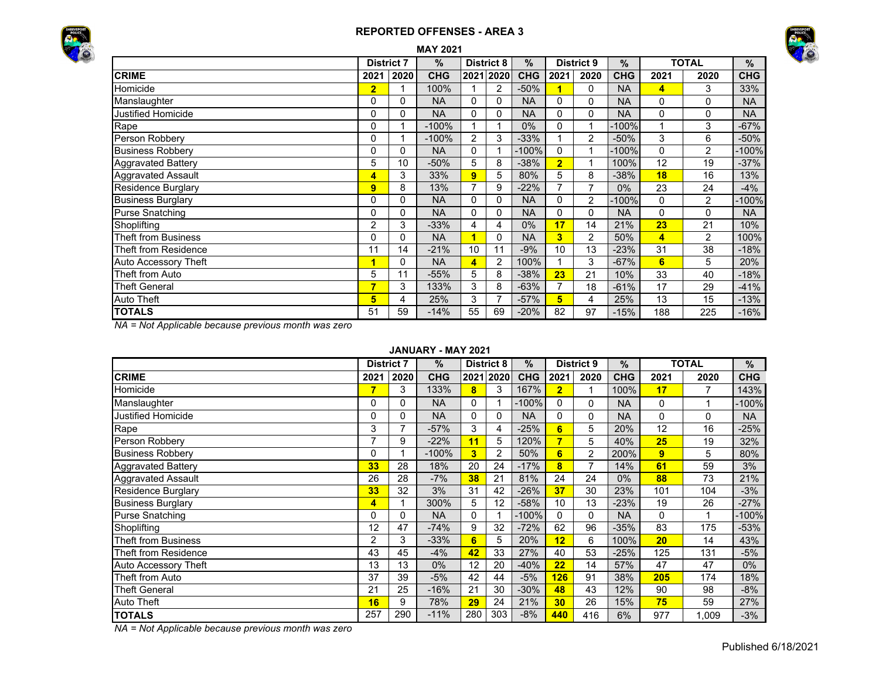



| <b>MAY 2021</b>             |                |                   |            |                |                   |            |                |                   |               |          |                |            |  |
|-----------------------------|----------------|-------------------|------------|----------------|-------------------|------------|----------------|-------------------|---------------|----------|----------------|------------|--|
|                             |                | <b>District 7</b> | $\%$       |                | <b>District 8</b> | $\%$       |                | <b>District 9</b> | $\frac{9}{6}$ |          | <b>TOTAL</b>   | $\%$       |  |
| <b>CRIME</b>                | 2021           | 2020              | <b>CHG</b> |                | 2021 2020         | <b>CHG</b> | 2021           | 2020              | <b>CHG</b>    | 2021     | 2020           | <b>CHG</b> |  |
| Homicide                    | $\overline{2}$ |                   | 100%       |                | 2                 | $-50%$     | 1              | $\Omega$          | <b>NA</b>     | 4        | 3              | 33%        |  |
| Manslaughter                | 0              | 0                 | <b>NA</b>  | 0              | $\Omega$          | <b>NA</b>  | $\Omega$       | 0                 | <b>NA</b>     | 0        | 0              | <b>NA</b>  |  |
| <b>Justified Homicide</b>   | 0              | 0                 | <b>NA</b>  | 0              | 0                 | <b>NA</b>  | $\mathbf{0}$   | 0                 | <b>NA</b>     | 0        | 0              | <b>NA</b>  |  |
| Rape                        | 0              |                   | $-100%$    |                |                   | $0\%$      | 0              |                   | $-100%$       |          | 3              | $-67%$     |  |
| Person Robbery              | 0              |                   | $-100%$    | 2              | 3                 | $-33%$     |                | $\overline{2}$    | $-50%$        | 3        | 6              | $-50%$     |  |
| <b>Business Robbery</b>     | 0              | 0                 | <b>NA</b>  | $\mathbf{0}$   |                   | $-100%$    | $\Omega$       |                   | $-100%$       | $\Omega$ | $\overline{2}$ | -100%      |  |
| <b>Aggravated Battery</b>   | 5              | 10                | $-50%$     | 5              | 8                 | $-38%$     | $\overline{2}$ |                   | 100%          | 12       | 19             | $-37%$     |  |
| <b>Aggravated Assault</b>   | 4              | 3                 | 33%        | 9              | 5                 | 80%        | 5              | 8                 | $-38%$        | 18       | 16             | 13%        |  |
| <b>Residence Burglary</b>   | 9              | 8                 | 13%        | $\overline{ }$ | 9                 | $-22%$     | 7              |                   | $0\%$         | 23       | 24             | $-4%$      |  |
| <b>Business Burglary</b>    | 0              | $\Omega$          | <b>NA</b>  | $\Omega$       | $\Omega$          | <b>NA</b>  | $\Omega$       | $\overline{2}$    | $-100%$       | 0        | $\overline{2}$ | $-100%$    |  |
| <b>Purse Snatching</b>      | 0              | 0                 | <b>NA</b>  | 0              | 0                 | <b>NA</b>  | $\Omega$       | 0                 | <b>NA</b>     | 0        | 0              | <b>NA</b>  |  |
| Shoplifting                 | $\overline{2}$ | 3                 | $-33%$     | 4              | 4                 | 0%         | 17             | 14                | 21%           | 23       | 21             | 10%        |  |
| <b>Theft from Business</b>  | 0              | 0                 | <b>NA</b>  | 4              | $\Omega$          | <b>NA</b>  | 3              | 2                 | 50%           | 4        | 2              | 100%       |  |
| <b>Theft from Residence</b> | 11             | 14                | $-21%$     | 10             | 11                | $-9%$      | 10             | 13                | $-23%$        | 31       | 38             | $-18%$     |  |
| Auto Accessory Theft        | 1              | 0                 | <b>NA</b>  | 4              | 2                 | 100%       |                | 3                 | $-67%$        | 6        | 5              | 20%        |  |
| Theft from Auto             | 5              | 11                | $-55%$     | 5              | 8                 | $-38%$     | 23             | 21                | 10%           | 33       | 40             | $-18%$     |  |
| <b>Theft General</b>        | 7              | 3                 | 133%       | 3              | 8                 | $-63%$     |                | 18                | $-61%$        | 17       | 29             | $-41%$     |  |
| Auto Theft                  | 5              | 4                 | 25%        | 3              | 7                 | $-57%$     | 5              | 4                 | 25%           | 13       | 15             | $-13%$     |  |
| <b>TOTALS</b>               | 51             | 59                | $-14%$     | 55             | 69                | $-20%$     | 82             | 97                | $-15%$        | 188      | 225            | $-16%$     |  |

*NA = Not Applicable because previous month was zero*

### **JANUARY - MAY 2021**

|                            | <b>District 7</b> |          | $\%$       |                         | <b>District 8</b> | $\%$       |                | <b>District 9</b> | $\%$       |      | <b>TOTAL</b> | %          |
|----------------------------|-------------------|----------|------------|-------------------------|-------------------|------------|----------------|-------------------|------------|------|--------------|------------|
| <b>CRIME</b>               | 2021              | 2020     | <b>CHG</b> |                         | 2021 2020         | <b>CHG</b> | 2021           | 2020              | <b>CHG</b> | 2021 | 2020         | <b>CHG</b> |
| Homicide                   |                   | 3        | 133%       | 8                       | 3                 | 167%       | $\overline{2}$ |                   | 100%       | 17   |              | 143%       |
| Manslaughter               | 0                 | 0        | <b>NA</b>  | 0                       |                   | $-100%$    | 0              | 0                 | <b>NA</b>  | 0    |              | $-100%$    |
| <b>Justified Homicide</b>  | 0                 | 0        | <b>NA</b>  | $\Omega$                | 0                 | <b>NA</b>  | 0              | $\Omega$          | <b>NA</b>  | 0    | 0            | <b>NA</b>  |
| Rape                       | 3                 | 7        | $-57%$     | 3                       | 4                 | $-25%$     | 6              | 5                 | 20%        | 12   | 16           | $-25%$     |
| Person Robbery             |                   | 9        | $-22%$     | 11                      | 5                 | 120%       | 7              | 5                 | 40%        | 25   | 19           | 32%        |
| <b>Business Robbery</b>    | 0                 |          | $-100%$    | $\overline{\mathbf{3}}$ | $\overline{2}$    | 50%        | 6              | $\overline{2}$    | 200%       | 9    | 5            | 80%        |
| <b>Aggravated Battery</b>  | 33                | 28       | 18%        | 20                      | 24                | $-17%$     | 8              | 7                 | 14%        | 61   | 59           | 3%         |
| <b>Aggravated Assault</b>  | 26                | 28       | $-7%$      | 38                      | 21                | 81%        | 24             | 24                | $0\%$      | 88   | 73           | 21%        |
| Residence Burglary         | 33                | 32       | 3%         | 31                      | 42                | $-26%$     | 37             | 30                | 23%        | 101  | 104          | $-3%$      |
| <b>Business Burglary</b>   | 4                 |          | 300%       | 5                       | 12                | $-58%$     | 10             | 13                | $-23%$     | 19   | 26           | $-27%$     |
| Purse Snatching            | 0                 | $\Omega$ | <b>NA</b>  | $\Omega$                |                   | $-100%$    | $\Omega$       | $\Omega$          | <b>NA</b>  | 0    |              | $-100%$    |
| Shoplifting                | 12                | 47       | $-74%$     | 9                       | 32                | $-72%$     | 62             | 96                | $-35%$     | 83   | 175          | $-53%$     |
| <b>Theft from Business</b> | 2                 | 3        | $-33%$     | 6                       | 5                 | 20%        | 12             | 6                 | 100%       | 20   | 14           | 43%        |
| Theft from Residence       | 43                | 45       | $-4%$      | 42                      | 33                | 27%        | 40             | 53                | $-25%$     | 125  | 131          | $-5%$      |
| Auto Accessory Theft       | 13                | 13       | $0\%$      | 12                      | 20                | $-40%$     | 22             | 14                | 57%        | 47   | 47           | 0%         |
| Theft from Auto            | 37                | 39       | $-5%$      | 42                      | 44                | $-5%$      | 126            | 91                | 38%        | 205  | 174          | 18%        |
| Theft General              | 21                | 25       | $-16%$     | 21                      | 30                | $-30%$     | 48             | 43                | 12%        | 90   | 98           | $-8%$      |
| Auto Theft                 | 16                | 9        | 78%        | 29                      | 24                | 21%        | 30             | 26                | 15%        | 75   | 59           | 27%        |
| <b>TOTALS</b>              | 257               | 290      | $-11%$     | 280                     | 303               | $-8%$      | 440            | 416               | 6%         | 977  | 1.009        | $-3%$      |